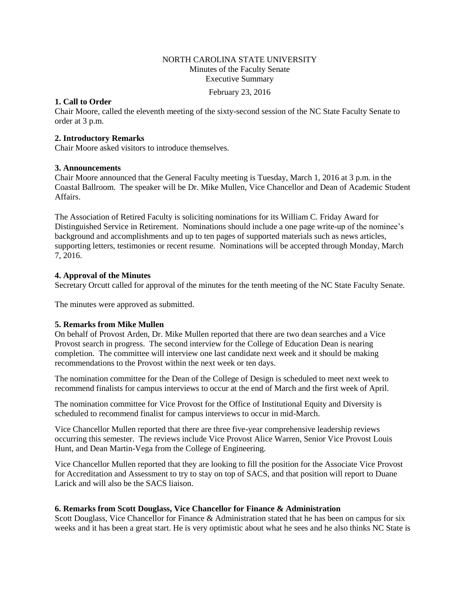# NORTH CAROLINA STATE UNIVERSITY Minutes of the Faculty Senate Executive Summary

February 23, 2016

# **1. Call to Order**

Chair Moore, called the eleventh meeting of the sixty-second session of the NC State Faculty Senate to order at 3 p.m.

# **2. Introductory Remarks**

Chair Moore asked visitors to introduce themselves.

# **3. Announcements**

Chair Moore announced that the General Faculty meeting is Tuesday, March 1, 2016 at 3 p.m. in the Coastal Ballroom. The speaker will be Dr. Mike Mullen, Vice Chancellor and Dean of Academic Student Affairs.

The Association of Retired Faculty is soliciting nominations for its William C. Friday Award for Distinguished Service in Retirement. Nominations should include a one page write-up of the nominee's background and accomplishments and up to ten pages of supported materials such as news articles, supporting letters, testimonies or recent resume. Nominations will be accepted through Monday, March 7, 2016.

# **4. Approval of the Minutes**

Secretary Orcutt called for approval of the minutes for the tenth meeting of the NC State Faculty Senate.

The minutes were approved as submitted.

# **5. Remarks from Mike Mullen**

On behalf of Provost Arden, Dr. Mike Mullen reported that there are two dean searches and a Vice Provost search in progress. The second interview for the College of Education Dean is nearing completion. The committee will interview one last candidate next week and it should be making recommendations to the Provost within the next week or ten days.

The nomination committee for the Dean of the College of Design is scheduled to meet next week to recommend finalists for campus interviews to occur at the end of March and the first week of April.

The nomination committee for Vice Provost for the Office of Institutional Equity and Diversity is scheduled to recommend finalist for campus interviews to occur in mid-March.

Vice Chancellor Mullen reported that there are three five-year comprehensive leadership reviews occurring this semester. The reviews include Vice Provost Alice Warren, Senior Vice Provost Louis Hunt, and Dean Martin-Vega from the College of Engineering.

Vice Chancellor Mullen reported that they are looking to fill the position for the Associate Vice Provost for Accreditation and Assessment to try to stay on top of SACS, and that position will report to Duane Larick and will also be the SACS liaison.

# **6. Remarks from Scott Douglass, Vice Chancellor for Finance & Administration**

Scott Douglass, Vice Chancellor for Finance & Administration stated that he has been on campus for six weeks and it has been a great start. He is very optimistic about what he sees and he also thinks NC State is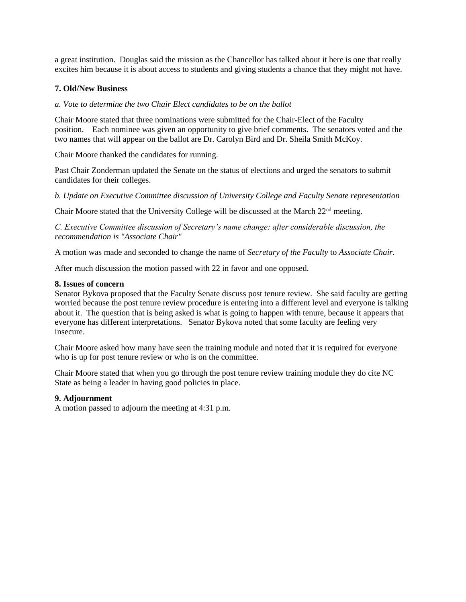a great institution. Douglas said the mission as the Chancellor has talked about it here is one that really excites him because it is about access to students and giving students a chance that they might not have.

# **7. Old/New Business**

# *a. Vote to determine the two Chair Elect candidates to be on the ballot*

Chair Moore stated that three nominations were submitted for the Chair-Elect of the Faculty position. Each nominee was given an opportunity to give brief comments. The senators voted and the two names that will appear on the ballot are Dr. Carolyn Bird and Dr. Sheila Smith McKoy.

Chair Moore thanked the candidates for running.

Past Chair Zonderman updated the Senate on the status of elections and urged the senators to submit candidates for their colleges.

*b. Update on Executive Committee discussion of University College and Faculty Senate representation*

Chair Moore stated that the University College will be discussed at the March 22nd meeting.

*C. Executive Committee discussion of Secretary's name change: after considerable discussion, the recommendation is "Associate Chair"* 

A motion was made and seconded to change the name of *Secretary of the Faculty* to *Associate Chair.* 

After much discussion the motion passed with 22 in favor and one opposed.

### **8. Issues of concern**

Senator Bykova proposed that the Faculty Senate discuss post tenure review. She said faculty are getting worried because the post tenure review procedure is entering into a different level and everyone is talking about it. The question that is being asked is what is going to happen with tenure, because it appears that everyone has different interpretations. Senator Bykova noted that some faculty are feeling very insecure.

Chair Moore asked how many have seen the training module and noted that it is required for everyone who is up for post tenure review or who is on the committee.

Chair Moore stated that when you go through the post tenure review training module they do cite NC State as being a leader in having good policies in place.

# **9. Adjournment**

A motion passed to adjourn the meeting at 4:31 p.m.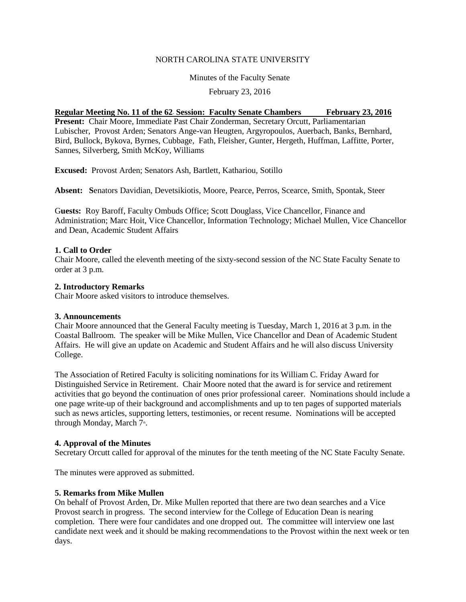### NORTH CAROLINA STATE UNIVERSITY

Minutes of the Faculty Senate

February 23, 2016

# **<u>Regular Meeting No. 11 of the 62 Session: Faculty Senate Chambers February 23, 2016</u>**

**Present:** Chair Moore, Immediate Past Chair Zonderman, Secretary Orcutt, Parliamentarian Lubischer, Provost Arden; Senators Ange-van Heugten, Argyropoulos, Auerbach, Banks, Bernhard, Bird, Bullock, Bykova, Byrnes, Cubbage, Fath, Fleisher, Gunter, Hergeth, Huffman, Laffitte, Porter, Sannes, Silverberg, Smith McKoy, Williams

**Excused:** Provost Arden; Senators Ash, Bartlett, Kathariou, Sotillo

**Absent: S**enators Davidian, Devetsikiotis, Moore, Pearce, Perros, Scearce, Smith, Spontak, Steer

G**uests:** Roy Baroff, Faculty Ombuds Office; Scott Douglass, Vice Chancellor, Finance and Administration; Marc Hoit, Vice Chancellor, Information Technology; Michael Mullen, Vice Chancellor and Dean, Academic Student Affairs

### **1. Call to Order**

Chair Moore, called the eleventh meeting of the sixty-second session of the NC State Faculty Senate to order at 3 p.m.

### **2. Introductory Remarks**

Chair Moore asked visitors to introduce themselves.

#### **3. Announcements**

Chair Moore announced that the General Faculty meeting is Tuesday, March 1, 2016 at 3 p.m. in the Coastal Ballroom. The speaker will be Mike Mullen, Vice Chancellor and Dean of Academic Student Affairs. He will give an update on Academic and Student Affairs and he will also discuss University College.

The Association of Retired Faculty is soliciting nominations for its William C. Friday Award for Distinguished Service in Retirement. Chair Moore noted that the award is for service and retirement activities that go beyond the continuation of ones prior professional career. Nominations should include a one page write-up of their background and accomplishments and up to ten pages of supported materials such as news articles, supporting letters, testimonies, or recent resume. Nominations will be accepted through Monday, March 7<sup>th</sup>.

# **4. Approval of the Minutes**

Secretary Orcutt called for approval of the minutes for the tenth meeting of the NC State Faculty Senate.

The minutes were approved as submitted.

# **5. Remarks from Mike Mullen**

On behalf of Provost Arden, Dr. Mike Mullen reported that there are two dean searches and a Vice Provost search in progress. The second interview for the College of Education Dean is nearing completion. There were four candidates and one dropped out. The committee will interview one last candidate next week and it should be making recommendations to the Provost within the next week or ten days.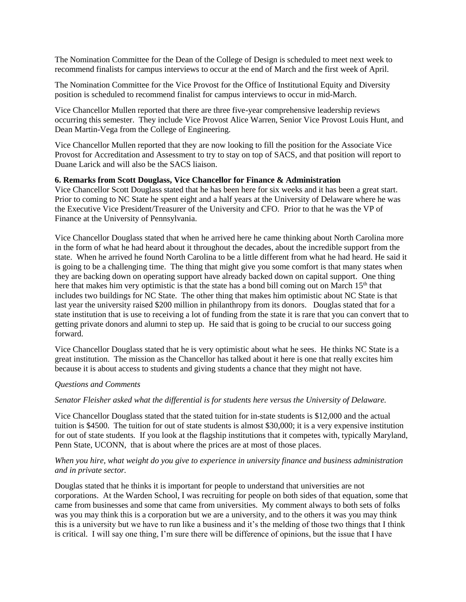The Nomination Committee for the Dean of the College of Design is scheduled to meet next week to recommend finalists for campus interviews to occur at the end of March and the first week of April.

The Nomination Committee for the Vice Provost for the Office of Institutional Equity and Diversity position is scheduled to recommend finalist for campus interviews to occur in mid-March.

Vice Chancellor Mullen reported that there are three five-year comprehensive leadership reviews occurring this semester. They include Vice Provost Alice Warren, Senior Vice Provost Louis Hunt, and Dean Martin-Vega from the College of Engineering.

Vice Chancellor Mullen reported that they are now looking to fill the position for the Associate Vice Provost for Accreditation and Assessment to try to stay on top of SACS, and that position will report to Duane Larick and will also be the SACS liaison.

### **6. Remarks from Scott Douglass, Vice Chancellor for Finance & Administration**

Vice Chancellor Scott Douglass stated that he has been here for six weeks and it has been a great start. Prior to coming to NC State he spent eight and a half years at the University of Delaware where he was the Executive Vice President/Treasurer of the University and CFO. Prior to that he was the VP of Finance at the University of Pennsylvania.

Vice Chancellor Douglass stated that when he arrived here he came thinking about North Carolina more in the form of what he had heard about it throughout the decades, about the incredible support from the state. When he arrived he found North Carolina to be a little different from what he had heard. He said it is going to be a challenging time. The thing that might give you some comfort is that many states when they are backing down on operating support have already backed down on capital support. One thing here that makes him very optimistic is that the state has a bond bill coming out on March 15<sup>th</sup> that includes two buildings for NC State. The other thing that makes him optimistic about NC State is that last year the university raised \$200 million in philanthropy from its donors. Douglas stated that for a state institution that is use to receiving a lot of funding from the state it is rare that you can convert that to getting private donors and alumni to step up. He said that is going to be crucial to our success going forward.

Vice Chancellor Douglass stated that he is very optimistic about what he sees. He thinks NC State is a great institution. The mission as the Chancellor has talked about it here is one that really excites him because it is about access to students and giving students a chance that they might not have.

#### *Questions and Comments*

#### *Senator Fleisher asked what the differential is for students here versus the University of Delaware.*

Vice Chancellor Douglass stated that the stated tuition for in-state students is \$12,000 and the actual tuition is \$4500. The tuition for out of state students is almost \$30,000; it is a very expensive institution for out of state students. If you look at the flagship institutions that it competes with, typically Maryland, Penn State, UCONN, that is about where the prices are at most of those places.

#### *When you hire, what weight do you give to experience in university finance and business administration and in private sector.*

Douglas stated that he thinks it is important for people to understand that universities are not corporations. At the Warden School, I was recruiting for people on both sides of that equation, some that came from businesses and some that came from universities. My comment always to both sets of folks was you may think this is a corporation but we are a university, and to the others it was you may think this is a university but we have to run like a business and it's the melding of those two things that I think is critical. I will say one thing, I'm sure there will be difference of opinions, but the issue that I have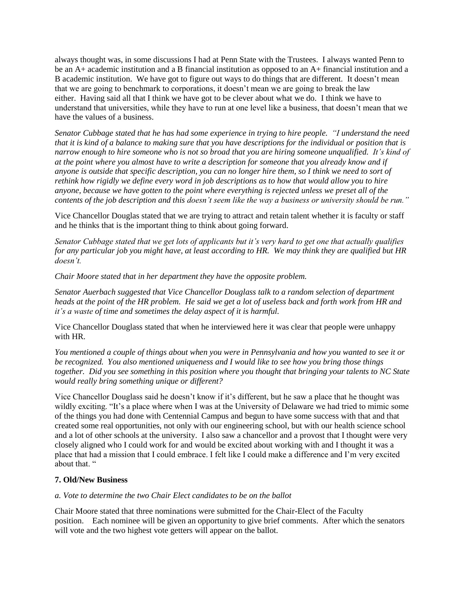always thought was, in some discussions I had at Penn State with the Trustees. I always wanted Penn to be an A+ academic institution and a B financial institution as opposed to an A+ financial institution and a B academic institution. We have got to figure out ways to do things that are different. It doesn't mean that we are going to benchmark to corporations, it doesn't mean we are going to break the law either. Having said all that I think we have got to be clever about what we do. I think we have to understand that universities, while they have to run at one level like a business, that doesn't mean that we have the values of a business.

*Senator Cubbage stated that he has had some experience in trying to hire people. "I understand the need that it is kind of a balance to making sure that you have descriptions for the individual or position that is narrow enough to hire someone who is not so broad that you are hiring someone unqualified. It's kind of at the point where you almost have to write a description for someone that you already know and if anyone is outside that specific description, you can no longer hire them, so I think we need to sort of rethink how rigidly we define every word in job descriptions as to how that would allow you to hire anyone, because we have gotten to the point where everything is rejected unless we preset all of the contents of the job description and this doesn't seem like the way a business or university should be run."*

Vice Chancellor Douglas stated that we are trying to attract and retain talent whether it is faculty or staff and he thinks that is the important thing to think about going forward.

*Senator Cubbage stated that we get lots of applicants but it's very hard to get one that actually qualifies for any particular job you might have, at least according to HR. We may think they are qualified but HR doesn't.* 

*Chair Moore stated that in her department they have the opposite problem.* 

*Senator Auerbach suggested that Vice Chancellor Douglass talk to a random selection of department heads at the point of the HR problem. He said we get a lot of useless back and forth work from HR and it's a waste of time and sometimes the delay aspect of it is harmful.* 

Vice Chancellor Douglass stated that when he interviewed here it was clear that people were unhappy with HR.

*You mentioned a couple of things about when you were in Pennsylvania and how you wanted to see it or be recognized. You also mentioned uniqueness and I would like to see how you bring those things together. Did you see something in this position where you thought that bringing your talents to NC State would really bring something unique or different?* 

Vice Chancellor Douglass said he doesn't know if it's different, but he saw a place that he thought was wildly exciting. "It's a place where when I was at the University of Delaware we had tried to mimic some of the things you had done with Centennial Campus and begun to have some success with that and that created some real opportunities, not only with our engineering school, but with our health science school and a lot of other schools at the university. I also saw a chancellor and a provost that I thought were very closely aligned who I could work for and would be excited about working with and I thought it was a place that had a mission that I could embrace. I felt like I could make a difference and I'm very excited about that. "

# **7. Old/New Business**

#### *a. Vote to determine the two Chair Elect candidates to be on the ballot*

Chair Moore stated that three nominations were submitted for the Chair-Elect of the Faculty position. Each nominee will be given an opportunity to give brief comments. After which the senators will vote and the two highest vote getters will appear on the ballot.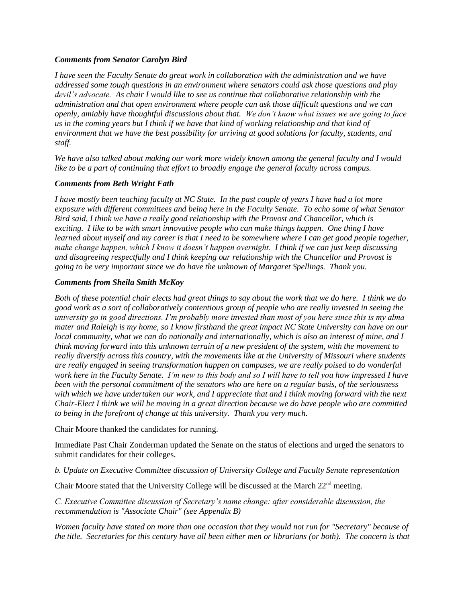# *Comments from Senator Carolyn Bird*

*I have seen the Faculty Senate do great work in collaboration with the administration and we have addressed some tough questions in an environment where senators could ask those questions and play devil's advocate. As chair I would like to see us continue that collaborative relationship with the administration and that open environment where people can ask those difficult questions and we can openly, amiably have thoughtful discussions about that. We don't know what issues we are going to face us in the coming years but I think if we have that kind of working relationship and that kind of environment that we have the best possibility for arriving at good solutions for faculty, students, and staff.* 

*We have also talked about making our work more widely known among the general faculty and I would like to be a part of continuing that effort to broadly engage the general faculty across campus.* 

# *Comments from Beth Wright Fath*

*I have mostly been teaching faculty at NC State. In the past couple of years I have had a lot more exposure with different committees and being here in the Faculty Senate. To echo some of what Senator Bird said, I think we have a really good relationship with the Provost and Chancellor, which is exciting. I like to be with smart innovative people who can make things happen. One thing I have learned about myself and my career is that I need to be somewhere where I can get good people together, make change happen, which I know it doesn't happen overnight. I think if we can just keep discussing and disagreeing respectfully and I think keeping our relationship with the Chancellor and Provost is going to be very important since we do have the unknown of Margaret Spellings. Thank you.* 

# *Comments from Sheila Smith McKoy*

*Both of these potential chair elects had great things to say about the work that we do here. I think we do good work as a sort of collaboratively contentious group of people who are really invested in seeing the university go in good directions. I'm probably more invested than most of you here since this is my alma mater and Raleigh is my home, so I know firsthand the great impact NC State University can have on our local community, what we can do nationally and internationally, which is also an interest of mine, and I think moving forward into this unknown terrain of a new president of the system, with the movement to really diversify across this country, with the movements like at the University of Missouri where students are really engaged in seeing transformation happen on campuses, we are really poised to do wonderful work here in the Faculty Senate. I'm new to this body and so I will have to tell you how impressed I have been with the personal commitment of the senators who are here on a regular basis, of the seriousness with which we have undertaken our work, and I appreciate that and I think moving forward with the next Chair-Elect I think we will be moving in a great direction because we do have people who are committed to being in the forefront of change at this university. Thank you very much.*

Chair Moore thanked the candidates for running.

Immediate Past Chair Zonderman updated the Senate on the status of elections and urged the senators to submit candidates for their colleges.

*b. Update on Executive Committee discussion of University College and Faculty Senate representation*

Chair Moore stated that the University College will be discussed at the March  $22<sup>nd</sup>$  meeting.

*C. Executive Committee discussion of Secretary's name change: after considerable discussion, the recommendation is "Associate Chair" (see Appendix B)* 

*Women faculty have stated on more than one occasion that they would not run for "Secretary" because of the title. Secretaries for this century have all been either men or librarians (or both). The concern is that*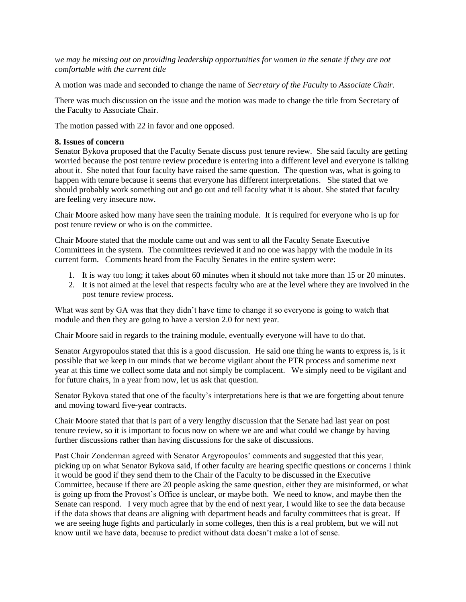*we may be missing out on providing leadership opportunities for women in the senate if they are not comfortable with the current title*

A motion was made and seconded to change the name of *Secretary of the Faculty* to *Associate Chair.* 

There was much discussion on the issue and the motion was made to change the title from Secretary of the Faculty to Associate Chair.

The motion passed with 22 in favor and one opposed.

#### **8. Issues of concern**

Senator Bykova proposed that the Faculty Senate discuss post tenure review. She said faculty are getting worried because the post tenure review procedure is entering into a different level and everyone is talking about it. She noted that four faculty have raised the same question. The question was, what is going to happen with tenure because it seems that everyone has different interpretations. She stated that we should probably work something out and go out and tell faculty what it is about. She stated that faculty are feeling very insecure now.

Chair Moore asked how many have seen the training module. It is required for everyone who is up for post tenure review or who is on the committee.

Chair Moore stated that the module came out and was sent to all the Faculty Senate Executive Committees in the system. The committees reviewed it and no one was happy with the module in its current form. Comments heard from the Faculty Senates in the entire system were:

- 1. It is way too long; it takes about 60 minutes when it should not take more than 15 or 20 minutes.
- 2. It is not aimed at the level that respects faculty who are at the level where they are involved in the post tenure review process.

What was sent by GA was that they didn't have time to change it so everyone is going to watch that module and then they are going to have a version 2.0 for next year.

Chair Moore said in regards to the training module, eventually everyone will have to do that.

Senator Argyropoulos stated that this is a good discussion. He said one thing he wants to express is, is it possible that we keep in our minds that we become vigilant about the PTR process and sometime next year at this time we collect some data and not simply be complacent. We simply need to be vigilant and for future chairs, in a year from now, let us ask that question.

Senator Bykova stated that one of the faculty's interpretations here is that we are forgetting about tenure and moving toward five-year contracts.

Chair Moore stated that that is part of a very lengthy discussion that the Senate had last year on post tenure review, so it is important to focus now on where we are and what could we change by having further discussions rather than having discussions for the sake of discussions.

Past Chair Zonderman agreed with Senator Argyropoulos' comments and suggested that this year, picking up on what Senator Bykova said, if other faculty are hearing specific questions or concerns I think it would be good if they send them to the Chair of the Faculty to be discussed in the Executive Committee, because if there are 20 people asking the same question, either they are misinformed, or what is going up from the Provost's Office is unclear, or maybe both. We need to know, and maybe then the Senate can respond. I very much agree that by the end of next year, I would like to see the data because if the data shows that deans are aligning with department heads and faculty committees that is great. If we are seeing huge fights and particularly in some colleges, then this is a real problem, but we will not know until we have data, because to predict without data doesn't make a lot of sense.